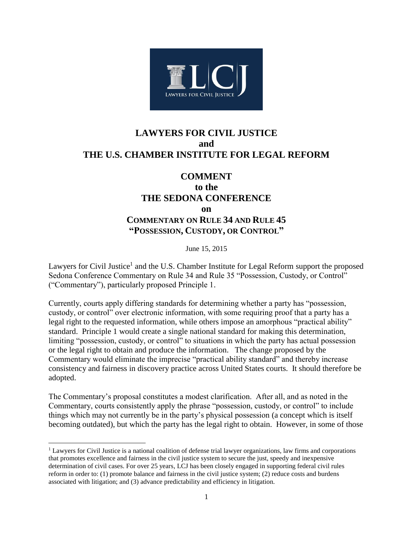

## **LAWYERS FOR CIVIL JUSTICE and THE U.S. CHAMBER INSTITUTE FOR LEGAL REFORM**

## **COMMENT**

## **to the THE SEDONA CONFERENCE on COMMENTARY ON RULE 34 AND RULE 45 "POSSESSION, CUSTODY, OR CONTROL"**

June 15, 2015

Lawyers for Civil Justice<sup>1</sup> and the U.S. Chamber Institute for Legal Reform support the proposed Sedona Conference Commentary on Rule 34 and Rule 35 "Possession, Custody, or Control" ("Commentary"), particularly proposed Principle 1.

Currently, courts apply differing standards for determining whether a party has "possession, custody, or control" over electronic information, with some requiring proof that a party has a legal right to the requested information, while others impose an amorphous "practical ability" standard. Principle 1 would create a single national standard for making this determination, limiting "possession, custody, or control" to situations in which the party has actual possession or the legal right to obtain and produce the information. The change proposed by the Commentary would eliminate the imprecise "practical ability standard" and thereby increase consistency and fairness in discovery practice across United States courts. It should therefore be adopted.

The Commentary's proposal constitutes a modest clarification. After all, and as noted in the Commentary, courts consistently apply the phrase "possession, custody, or control" to include things which may not currently be in the party's physical possession (a concept which is itself becoming outdated), but which the party has the legal right to obtain. However, in some of those

 $\overline{\phantom{a}}$ 

<sup>&</sup>lt;sup>1</sup> Lawyers for Civil Justice is a national coalition of defense trial lawyer organizations, law firms and corporations that promotes excellence and fairness in the civil justice system to secure the just, speedy and inexpensive determination of civil cases. For over 25 years, LCJ has been closely engaged in supporting federal civil rules reform in order to: (1) promote balance and fairness in the civil justice system; (2) reduce costs and burdens associated with litigation; and (3) advance predictability and efficiency in litigation.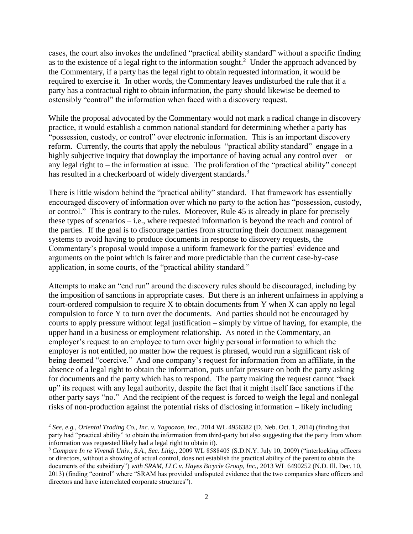cases, the court also invokes the undefined "practical ability standard" without a specific finding as to the existence of a legal right to the information sought.<sup>2</sup> Under the approach advanced by the Commentary, if a party has the legal right to obtain requested information, it would be required to exercise it. In other words, the Commentary leaves undisturbed the rule that if a party has a contractual right to obtain information, the party should likewise be deemed to ostensibly "control" the information when faced with a discovery request.

While the proposal advocated by the Commentary would not mark a radical change in discovery practice, it would establish a common national standard for determining whether a party has "possession, custody, or control" over electronic information. This is an important discovery reform. Currently, the courts that apply the nebulous "practical ability standard" engage in a highly subjective inquiry that downplay the importance of having actual any control over – or any legal right to – the information at issue. The proliferation of the "practical ability" concept has resulted in a checkerboard of widely divergent standards.<sup>3</sup>

There is little wisdom behind the "practical ability" standard. That framework has essentially encouraged discovery of information over which no party to the action has "possession, custody, or control." This is contrary to the rules. Moreover, Rule 45 is already in place for precisely these types of scenarios – i.e., where requested information is beyond the reach and control of the parties. If the goal is to discourage parties from structuring their document management systems to avoid having to produce documents in response to discovery requests, the Commentary's proposal would impose a uniform framework for the parties' evidence and arguments on the point which is fairer and more predictable than the current case-by-case application, in some courts, of the "practical ability standard."

Attempts to make an "end run" around the discovery rules should be discouraged, including by the imposition of sanctions in appropriate cases. But there is an inherent unfairness in applying a court-ordered compulsion to require X to obtain documents from Y when X can apply no legal compulsion to force Y to turn over the documents. And parties should not be encouraged by courts to apply pressure without legal justification – simply by virtue of having, for example, the upper hand in a business or employment relationship. As noted in the Commentary, an employer's request to an employee to turn over highly personal information to which the employer is not entitled, no matter how the request is phrased, would run a significant risk of being deemed "coercive." And one company's request for information from an affiliate, in the absence of a legal right to obtain the information, puts unfair pressure on both the party asking for documents and the party which has to respond. The party making the request cannot "back up" its request with any legal authority, despite the fact that it might itself face sanctions if the other party says "no." And the recipient of the request is forced to weigh the legal and nonlegal risks of non-production against the potential risks of disclosing information – likely including

l

<sup>2</sup> *See, e.g., Oriental Trading Co., Inc. v. Yagoozon, Inc.*, 2014 WL 4956382 (D. Neb. Oct. 1, 2014) (finding that party had "practical ability" to obtain the information from third-party but also suggesting that the party from whom information was requested likely had a legal right to obtain it).

<sup>3</sup> *Compare In re Vivendi Univ., S.A., Sec. Litig.*, 2009 WL 8588405 (S.D.N.Y. July 10, 2009) ("interlocking officers or directors, without a showing of actual control, does not establish the practical ability of the parent to obtain the documents of the subsidiary") *with SRAM, LLC v. Hayes Bicycle Group, Inc.*, 2013 WL 6490252 (N.D. Ill. Dec. 10, 2013) (finding "control" where "SRAM has provided undisputed evidence that the two companies share officers and directors and have interrelated corporate structures").